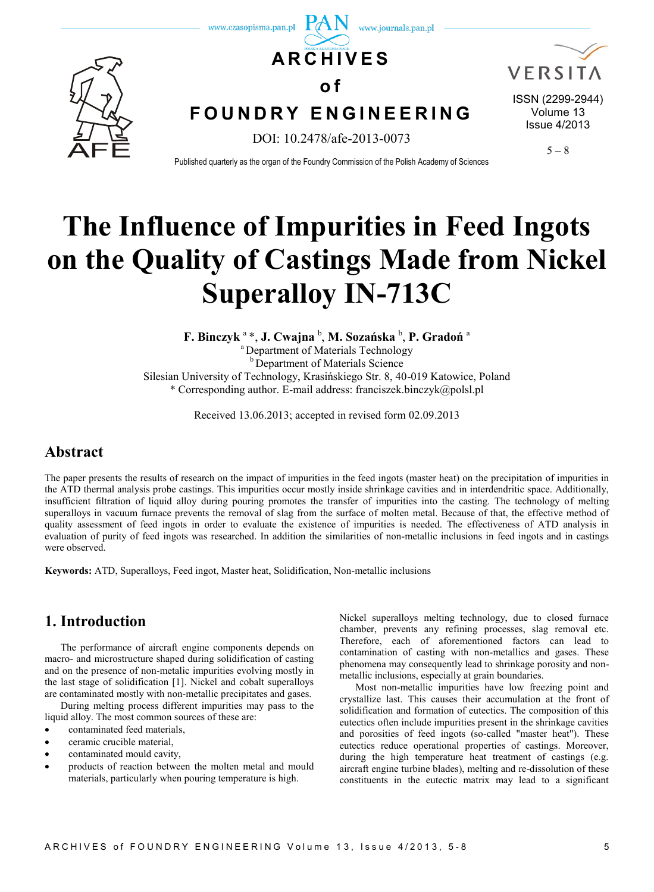

# **The Influence of Impurities in Feed Ingots on the Quality of Castings Made from Nickel Superalloy IN-713C**

**F. Binczyk** <sup>a</sup>\*, **J. Cwajna** <sup>b</sup> , **M. Sozańska** <sup>b</sup> , **P. Gradoń** <sup>a</sup> <sup>a</sup> Department of Materials Technology **b** Department of Materials Science Silesian University of Technology, Krasińskiego Str. 8, 40-019 Katowice, Poland \* Corresponding author. E-mail address: franciszek.binczyk@polsl.pl

Received 13.06.2013; accepted in revised form 02.09.2013

# **Abstract**

The paper presents the results of research on the impact of impurities in the feed ingots (master heat) on the precipitation of impurities in the ATD thermal analysis probe castings. This impurities occur mostly inside shrinkage cavities and in interdendritic space. Additionally, insufficient filtration of liquid alloy during pouring promotes the transfer of impurities into the casting. The technology of melting superalloys in vacuum furnace prevents the removal of slag from the surface of molten metal. Because of that, the effective method of quality assessment of feed ingots in order to evaluate the existence of impurities is needed. The effectiveness of ATD analysis in evaluation of purity of feed ingots was researched. In addition the similarities of non-metallic inclusions in feed ingots and in castings were observed.

**Keywords:** ATD, Superalloys, Feed ingot, Master heat, Solidification, Non-metallic inclusions

# **1. Introduction**

The performance of aircraft engine components depends on macro- and microstructure shaped during solidification of casting and on the presence of non-metalic impurities evolving mostly in the last stage of solidification [1]. Nickel and cobalt superalloys are contaminated mostly with non-metallic precipitates and gases.

During melting process different impurities may pass to the liquid alloy. The most common sources of these are:

- contaminated feed materials,
- ceramic crucible material,
- contaminated mould cavity,
- products of reaction between the molten metal and mould materials, particularly when pouring temperature is high.

Nickel superalloys melting technology, due to closed furnace chamber, prevents any refining processes, slag removal etc. Therefore, each of aforementioned factors can lead to contamination of casting with non-metallics and gases. These phenomena may consequently lead to shrinkage porosity and nonmetallic inclusions, especially at grain boundaries.

Most non-metallic impurities have low freezing point and crystallize last. This causes their accumulation at the front of solidification and formation of eutectics. The composition of this eutectics often include impurities present in the shrinkage cavities and porosities of feed ingots (so-called "master heat"). These eutectics reduce operational properties of castings. Moreover, during the high temperature heat treatment of castings (e.g. aircraft engine turbine blades), melting and re-dissolution of these constituents in the eutectic matrix may lead to a significant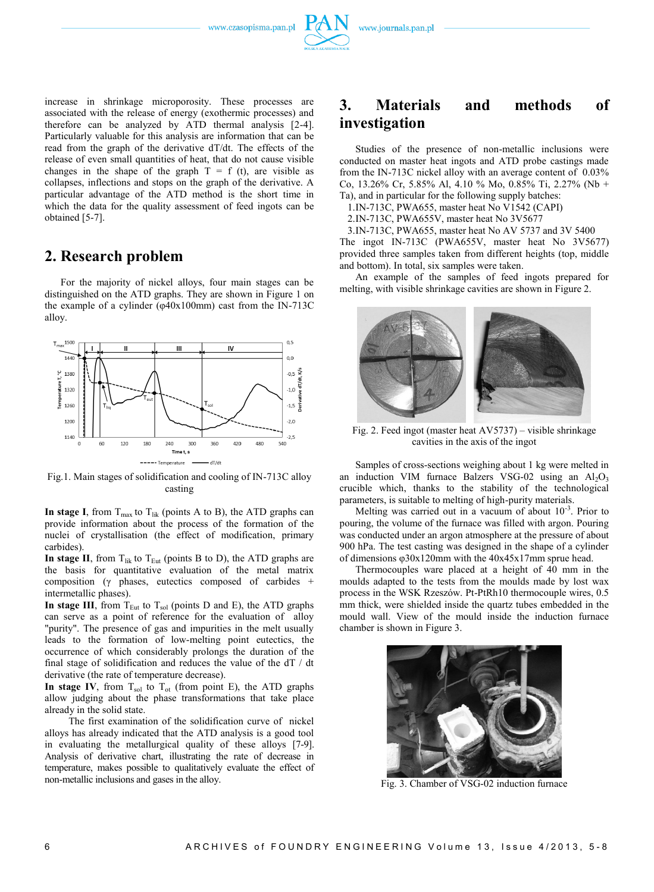



### **2. Research problem**

For the majority of nickel alloys, four main stages can be distinguished on the ATD graphs. They are shown in Figure 1 on the example of a cylinder (φ40x100mm) cast from the IN-713C alloy.



Fig.1. Main stages of solidification and cooling of IN-713C alloy casting

**In stage I**, from  $T_{\text{max}}$  to  $T_{\text{lik}}$  (points A to B), the ATD graphs can provide information about the process of the formation of the nuclei of crystallisation (the effect of modification, primary carbides).

**In stage II**, from  $T_{\text{lik}}$  to  $T_{\text{Eut}}$  (points B to D), the ATD graphs are the basis for quantitative evaluation of the metal matrix composition (γ phases, eutectics composed of carbides + intermetallic phases).

In stage III, from  $T_{\text{Eut}}$  to  $T_{\text{sol}}$  (points D and E), the ATD graphs can serve as a point of reference for the evaluation of alloy "purity". The presence of gas and impurities in the melt usually leads to the formation of low-melting point eutectics, the occurrence of which considerably prolongs the duration of the final stage of solidification and reduces the value of the dT / dt derivative (the rate of temperature decrease).

**In stage IV**, from  $T_{sol}$  to  $T_{ot}$  (from point E), the ATD graphs allow judging about the phase transformations that take place already in the solid state.

The first examination of the solidification curve of nickel alloys has already indicated that the ATD analysis is a good tool in evaluating the metallurgical quality of these alloys [7-9]. Analysis of derivative chart, illustrating the rate of decrease in temperature, makes possible to qualitatively evaluate the effect of non-metallic inclusions and gases in the alloy.

## **3. Materials and methods of investigation**

Studies of the presence of non-metallic inclusions were conducted on master heat ingots and ATD probe castings made from the IN-713C nickel alloy with an average content of 0.03% Co, 13.26% Cr, 5.85% Al, 4.10 % Mo, 0.85% Ti, 2.27% (Nb + Ta), and in particular for the following supply batches:

1.IN-713C, PWA655, master heat No V1542 (CAPI)

2.IN-713C, PWA655V, master heat No 3V5677

3.IN-713C, PWA655, master heat No AV 5737 and 3V 5400

The ingot IN-713C (PWA655V, master heat No 3V5677) provided three samples taken from different heights (top, middle and bottom). In total, six samples were taken.

An example of the samples of feed ingots prepared for melting, with visible shrinkage cavities are shown in Figure 2.



Fig. 2. Feed ingot (master heat AV5737) – visible shrinkage cavities in the axis of the ingot

Samples of cross-sections weighing about 1 kg were melted in an induction VIM furnace Balzers VSG-02 using an  $Al_2O_3$ crucible which, thanks to the stability of the technological parameters, is suitable to melting of high-purity materials.

Melting was carried out in a vacuum of about 10<sup>-3</sup>. Prior to pouring, the volume of the furnace was filled with argon. Pouring was conducted under an argon atmosphere at the pressure of about 900 hPa. The test casting was designed in the shape of a cylinder of dimensions φ30x120mm with the 40x45x17mm sprue head.

Thermocouples ware placed at a height of 40 mm in the moulds adapted to the tests from the moulds made by lost wax process in the WSK Rzeszów. Pt-PtRh10 thermocouple wires, 0.5 mm thick, were shielded inside the quartz tubes embedded in the mould wall. View of the mould inside the induction furnace chamber is shown in Figure 3.



Fig. 3. Chamber of VSG-02 induction furnace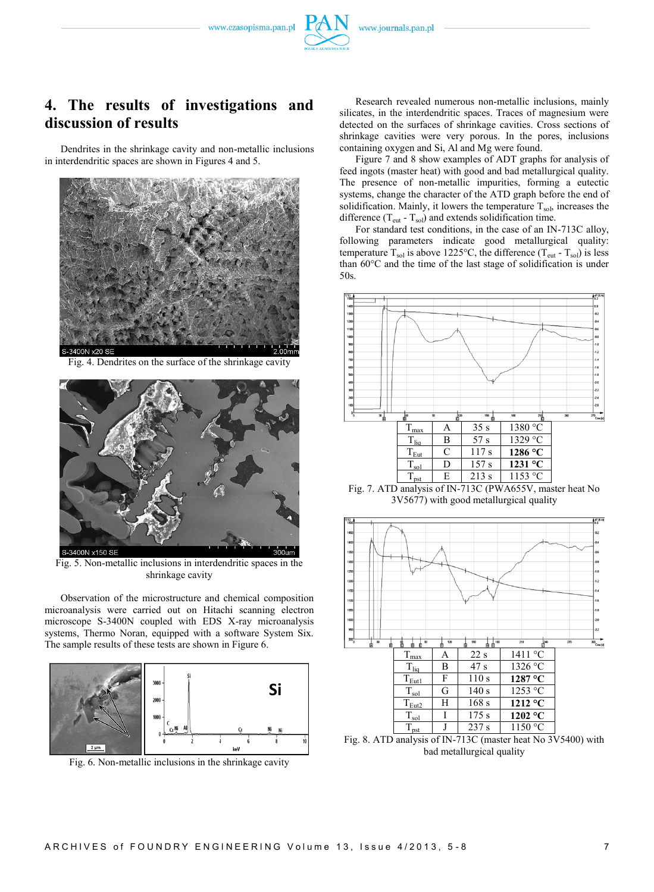www.czasopisma.pan.pl



Dendrites in the shrinkage cavity and non-metallic inclusions in interdendritic spaces are shown in Figures 4 and 5.



Fig. 4. Dendrites on the surface of the shrinkage cavity



Fig. 5. Non-metallic inclusions in interdendritic spaces in the shrinkage cavity

Observation of the microstructure and chemical composition microanalysis were carried out on Hitachi scanning electron microscope S-3400N coupled with EDS X-ray microanalysis systems, Thermo Noran, equipped with a software System Six. The sample results of these tests are shown in Figure 6.



Fig. 6. Non-metallic inclusions in the shrinkage cavity

Research revealed numerous non-metallic inclusions, mainly silicates, in the interdendritic spaces. Traces of magnesium were detected on the surfaces of shrinkage cavities. Cross sections of shrinkage cavities were very porous. In the pores, inclusions containing oxygen and Si, Al and Mg were found.

Figure 7 and 8 show examples of ADT graphs for analysis of feed ingots (master heat) with good and bad metallurgical quality. The presence of non-metallic impurities, forming a eutectic systems, change the character of the ATD graph before the end of solidification. Mainly, it lowers the temperature  $T_{sol}$ , increases the difference  $(T_{\text{eut}} - T_{\text{sol}})$  and extends solidification time.

For standard test conditions, in the case of an IN-713C alloy, following parameters indicate good metallurgical quality: temperature  $T_{sol}$  is above 1225°C, the difference ( $T_{\text{cut}}$  -  $T_{sol}$ ) is less than 60°C and the time of the last stage of solidification is under 50s.



Fig. 7. ATD analysis of IN-713C (PWA655V, master heat No 3V5677) with good metallurgical quality



bad metallurgical quality